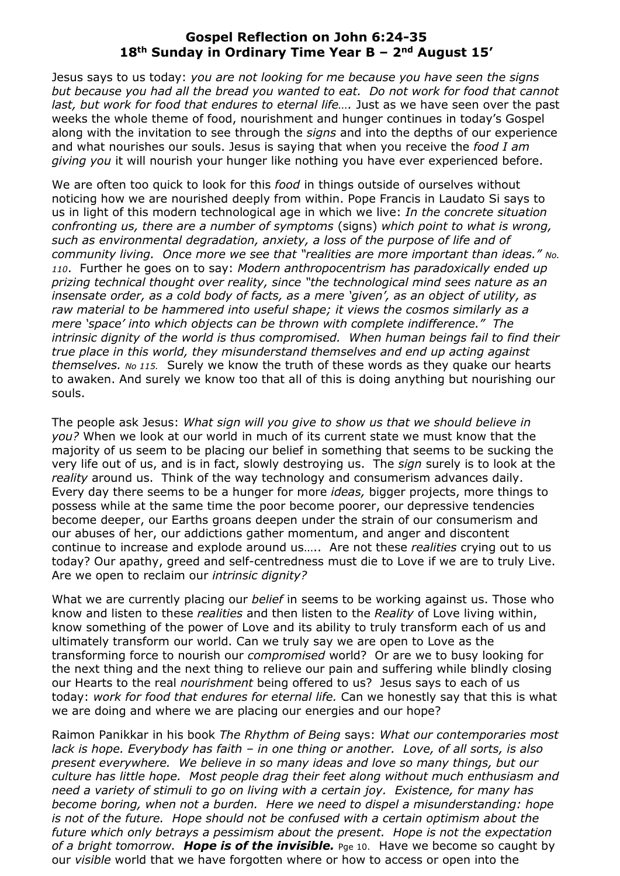## **Gospel Reflection on John 6:24-35 18th Sunday in Ordinary Time Year B – 2nd August 15'**

Jesus says to us today: *you are not looking for me because you have seen the signs but because you had all the bread you wanted to eat. Do not work for food that cannot*  last, but work for food that endures to eternal life.... Just as we have seen over the past weeks the whole theme of food, nourishment and hunger continues in today's Gospel along with the invitation to see through the *signs* and into the depths of our experience and what nourishes our souls. Jesus is saying that when you receive the *food I am giving you* it will nourish your hunger like nothing you have ever experienced before.

We are often too quick to look for this *food* in things outside of ourselves without noticing how we are nourished deeply from within. Pope Francis in Laudato Si says to us in light of this modern technological age in which we live: *In the concrete situation confronting us, there are a number of symptoms* (signs) *which point to what is wrong, such as environmental degradation, anxiety, a loss of the purpose of life and of community living. Once more we see that "realities are more important than ideas." No. 110*. Further he goes on to say: *Modern anthropocentrism has paradoxically ended up prizing technical thought over reality, since "the technological mind sees nature as an insensate order, as a cold body of facts, as a mere 'given', as an object of utility, as raw material to be hammered into useful shape; it views the cosmos similarly as a mere 'space' into which objects can be thrown with complete indifference." The intrinsic dignity of the world is thus compromised. When human beings fail to find their true place in this world, they misunderstand themselves and end up acting against themselves. No 115.* Surely we know the truth of these words as they quake our hearts to awaken. And surely we know too that all of this is doing anything but nourishing our souls.

The people ask Jesus: *What sign will you give to show us that we should believe in you?* When we look at our world in much of its current state we must know that the majority of us seem to be placing our belief in something that seems to be sucking the very life out of us, and is in fact, slowly destroying us. The *sign* surely is to look at the *reality* around us. Think of the way technology and consumerism advances daily. Every day there seems to be a hunger for more *ideas,* bigger projects, more things to possess while at the same time the poor become poorer, our depressive tendencies become deeper, our Earths groans deepen under the strain of our consumerism and our abuses of her, our addictions gather momentum, and anger and discontent continue to increase and explode around us….. Are not these *realities* crying out to us today? Our apathy, greed and self-centredness must die to Love if we are to truly Live. Are we open to reclaim our *intrinsic dignity?*

What we are currently placing our *belief* in seems to be working against us. Those who know and listen to these *realities* and then listen to the *Reality* of Love living within, know something of the power of Love and its ability to truly transform each of us and ultimately transform our world. Can we truly say we are open to Love as the transforming force to nourish our *compromised* world? Or are we to busy looking for the next thing and the next thing to relieve our pain and suffering while blindly closing our Hearts to the real *nourishment* being offered to us? Jesus says to each of us today: *work for food that endures for eternal life.* Can we honestly say that this is what we are doing and where we are placing our energies and our hope?

Raimon Panikkar in his book *The Rhythm of Being* says: *What our contemporaries most lack is hope. Everybody has faith – in one thing or another. Love, of all sorts, is also present everywhere. We believe in so many ideas and love so many things, but our culture has little hope. Most people drag their feet along without much enthusiasm and need a variety of stimuli to go on living with a certain joy. Existence, for many has become boring, when not a burden. Here we need to dispel a misunderstanding: hope is not of the future. Hope should not be confused with a certain optimism about the future which only betrays a pessimism about the present. Hope is not the expectation of a bright tomorrow. Hope is of the invisible.* Pge 10. Have we become so caught by our *visible* world that we have forgotten where or how to access or open into the